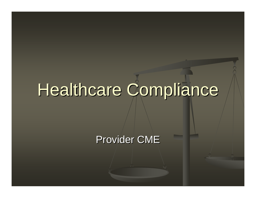# Healthcare Compliance

Provider CME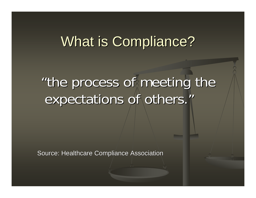## What is Compliance?

## "the process of meeting the "the process of meeting the expectations of others."

Source: Healthcare Compliance Association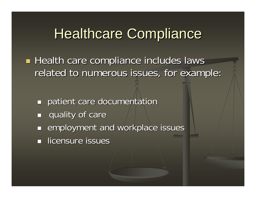#### **Healthcare Compliance**

**Health care compliance includes laws** related to numerous issues, for example:

- $\mathcal{L}_{\mathcal{A}}$ patient care documentation
- П quality of care
- $\overline{\phantom{a}}$ employment and workplace issues
- **In licensure issues**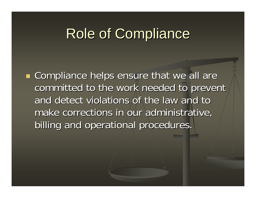#### **Role of Compliance**

**Service Service E** Compliance helps ensure that we all are committed to the work needed to prevent and detect violations of the law and to make corrections in our administrative, billing and operational procedures. billing and operational procedures.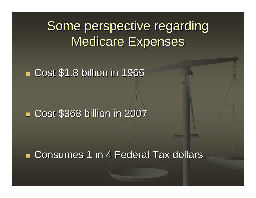Some perspective regarding Medicare Expenses

**E** Cost \$1.8 billion in 1965

**Cost \$368 billion in 2007** 

■ Consumes 1 in 4 Federal Tax dollars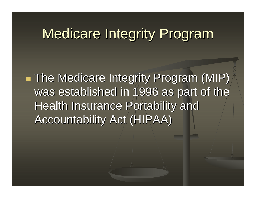#### Medicare Integrity Program

a<br>Ma  $\blacksquare$  The Medicare Integrity Program (MIP) was established in 1996 as part of the Health Insurance Portability and Accountability Act (HIPAA)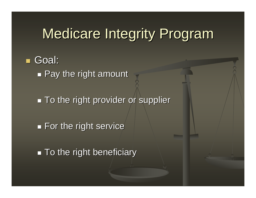## **Medicare Integrity Program**

 Goal:  $\mathcal{L}_{\mathcal{A}}$  $\blacksquare$  Pay the right amount

 $\mathcal{L}_{\mathcal{A}}$  $\blacksquare$  To the right provider or supplier

 $\mathcal{L}_{\mathcal{A}}$  $\blacksquare$  For the right service

 $\blacksquare$  To the right beneficiary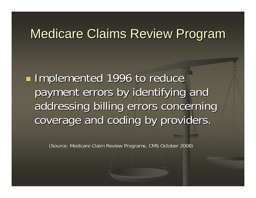#### Medicare Claims Review Program

a<br>Ma **Implemented 1996 to reduce** payment errors by identifying and addressing billing errors concerning coverage and coding by providers.

(Source: Medicare Claim Review Programs, CMS October 2008)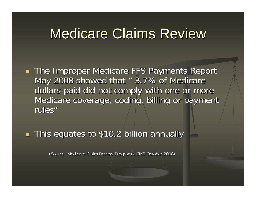#### **Medicare Claims Review**

Т. **The Improper Medicare FFS Payments Report** May 2008 showed that " 3.7% of Medicare dollars paid did not comply with one or more Medicare coverage, coding, billing or payment rules"

Т. **This equates to \$10.2 billion annually** 

(Source: Medicare Claim Review Programs, CMS October 2008)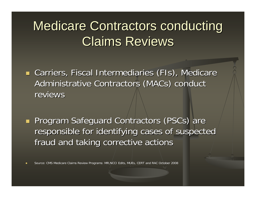## Medicare Contractors conducting **Claims Reviews**

**E** Carriers, Fiscal Intermediaries (FIs), Medicare Administrative Contractors (MACs) conduct reviews

Т. **Program Safeguard Contractors (PSCs) are** responsible for identifying cases of suspected fraud and taking corrective actions

Source: CMS Medicare Claims Review Programs: MR,NCCI Edits, MUEs, CERT and RAC October 2008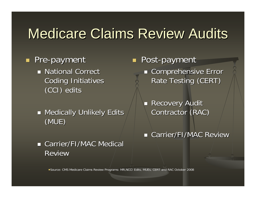## Medicare Claims Review Audits

#### **Pre-payment National Correct National Correct Coding Initiatives** (CCI) edits (CCI) edits

 $\blacksquare$  Medically Unlikely Edits (MUE)

Т. **Post-payment**  $\blacksquare$  Comprehensive Error Rate Testing (CERT)

> $\overline{\phantom{0}}$ **Recovery Audit** Contractor (RAC)

**E** Carrier/FI/MAC Review

**E** Carrier/FI/MAC Medical Review

Source: CMS Medicare Claims Review Programs: MR,NCCI Edits, MUEs, CERT and RAC October 2008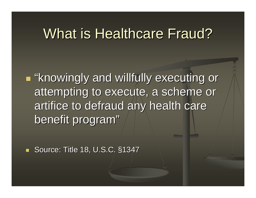#### What is Healthcare Fraud?

a<br>Ma **E** "knowingly and willfully executing or attempting to execute, a scheme or artifice to defraud any health care benefit program"

 $\mathbb{Z}^2$ Source: Title 18, U.S.C. §1347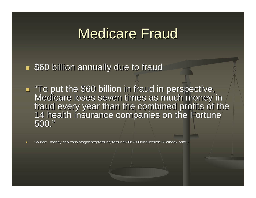#### Medicare Fraud

Т. **560 billion annually due to fraud** 

**To put the \$60 billion in fraud in perspective,** Medicare loses seven times as much money in<br>fraud every year than the combined profits of the<br>14 health insurance companies on the Fortune<br>500."

Source: money.cnn.com/magazines/fortune/fortune500/2009/industries/223/index.html.)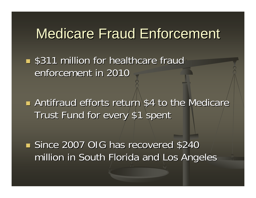#### Medicare Fraud Enforcement

**s** \$311 million for healthcare fraud enforcement in 2010

**Antifraud efforts return \$4 to the Medicare** Trust Fund for every \$1 spent

Since 2007 OIG has recovered \$240 million in South Florida and Los Angeles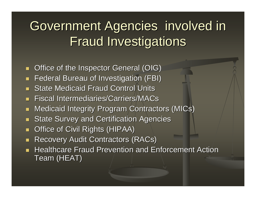## Government Agencies involved in **Fraud Investigations**

- П Office of the Inspector General (OIG)
- ш Federal Bureau of Investigation (FBI)
- $\blacksquare$ **State Medicaid Fraud Control Units**
- $\blacksquare$ **Fiscal Intermediaries/Carriers/MACs**
- п Medicaid Integrity Program Contractors (MICs)
- П **State Survey and Certification Agencies**
- п Office of Civil Rights (HIPAA)
- П ■ Recovery Audit Contractors (RACs)
- п **Healthcare Fraud Prevention and Enforcement Action** Team (HEAT)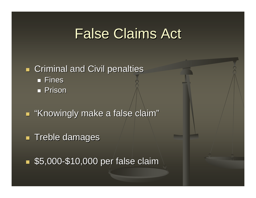### **False Claims Act**

#### Т. **Example 21 Criminal and Civil penalties** ■ Fines Prison

Т. **E** "Knowingly make a false claim"

Т. **Treble damages** 

**55,000-\$10,000 per false claim**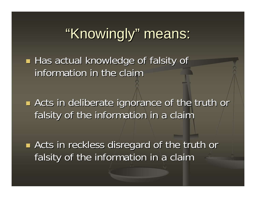## "Knowingly" means:

Has actual knowledge of falsity of information in the claim

**Example 13 Acts in deliberate ignorance of the truth or** falsity of the information in a claim

e<br>S **Example 2 Figure 10 Fearth of the truth or Acts in reckless disregard of the truth or** falsity of the information in a claim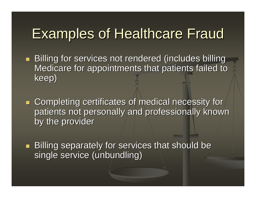#### Examples of Healthcare Fraud

- Т. **Billing for services not rendered (includes billing for services not rendered (includes billing** Medicare for appointments that patients failed to keep)
- $\blacksquare$  Completing certificates of medical necessity for patients not personally and professionally known by the provider
- Т.  $\blacksquare$  Billing separately for services that should be single service (unbundling)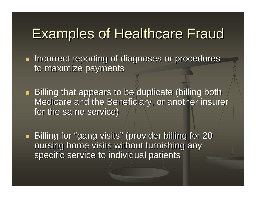#### Examples of Healthcare Fraud

Т. **Incorrect reporting of diagnoses or procedures** to maximize payments

Т. **Billing that appears to be duplicate (billing both** Medicare and the Beneficiary, or another insurer for the same service)

Т. **Billing for "gang visits" (provider billing for 20 Billing for 20** nursing home visits without furnishing any specific service to individual patients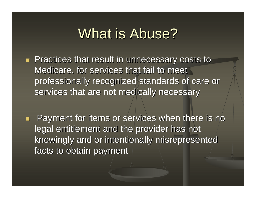#### What is Abuse?

- Т. **Practices that result in unnecessary costs to** Medicare, for services that fail to meet professionally recognized standards of care or professionally recognized standards of care or services that are not medically necessary
- Т. Payment for items or services when there is no Payment for items or services when there is no legal entitlement and the provider has not knowingly and or intentionally misrepresented knowingly and or intentionally misrepresented facts to obtain payment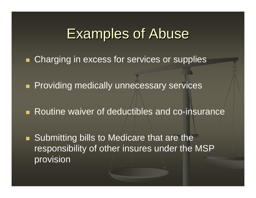#### **Examples of Abuse**

- **Charging in excess for services or supplies**
- **Providing medically unnecessary services**
- **Routine waiver of deductibles and co-insurance**
- **Submitting bills to Medicare that are the** responsibility of other insures under the MSP provision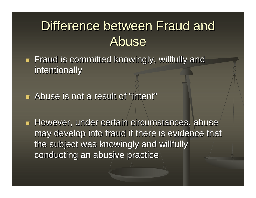#### Difference between Fraud and **Abuse**

- Т.  $\blacksquare$  Fraud is committed knowingly, willfully and intentionally
- **Abuse is not a result of "intent"**

**However, under certain circumstances, abuse** may develop into fraud if there is evidence that the subject was knowingly and willfully conducting an abusive practice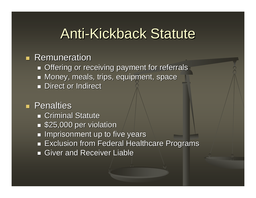#### Anti-Kickback Statute

#### **Remuneration**

- $\blacksquare$  Offering or receiving payment for referrals
- $\blacksquare$  Money, meals, trips, equipment, space
- **Direct or Indirect Direct**

#### **Penalties**

- $\blacksquare$  Criminal Statute
- **525,000 per violation**
- $\blacksquare$  Imprisonment up to five years
- $\blacksquare$  Exclusion from Federal Healthcare Programs
- $\blacksquare$  Giver and Receiver Liable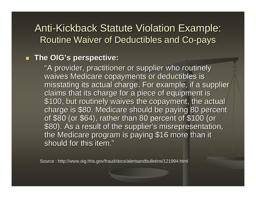#### **Anti-Kickback Statute Violation Example:** Routine Waiver of Deductibles and Co-pays

#### $\mathbf{r}$ **The OIG's perspective: The OIG's perspective:**

"A provider, practitioner or supplier who routinely "A provider, practitioner or supplier who routinely waives Medicare copayments or deductibles is misstating its actual charge. For example, if a supplier claims that its charge for a piece of equipment is \$100, but routinely waives the copayment, the actual charge is \$80. Medicare should be paying 80 percent of \$80 (or \$64), rather than 80 percent of \$100 (or \$80). As a result of the supplier's misrepresentation, the Medicare program is paying \$16 more than it should for this item."

Source : http://www.oig.hhs.gov/fraud/docs/alertsandbulletins/121994.html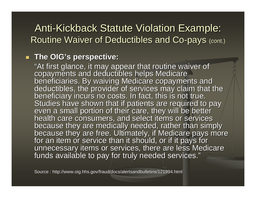#### Anti-Kickback Statute Violation Example: Routine Waiver of Deductibles and Co-pays (cont.)

#### **The OIG's perspective: The OIG's perspective:**

"At first glance, it may appear that routine waiver of<br>copayments and deductibles helps Medicare<br>beneficiaries. By waiving Medicare copayments and<br>deductibles, the provider of services may claim that the<br>beneficiary incurs because they are free. Ultimately, if Medicare pays more<br>for an item or service than it should, or if it pays for<br>unnecessary items or services, there are less Medicare<br>funds available to pay for truly needed services."

Source : http://www.oig.hhs.gov/fraud/docs/alertsandbulletins/121994.html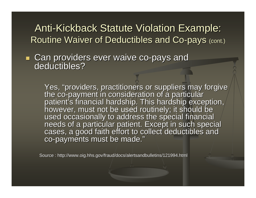#### Anti-Kickback Statute Violation Example: Routine Waiver of Deductibles and Co-pays (cont.)

Т. **Can providers ever waive co-pays and deductibles?** deductibles?

> Yes, "providers, practitioners or suppliers may forgive<br>the co-payment in consideration of a particular<br>patient's financial hardship. This hardship exception,<br>however, must not be used routinely; it should be<br>used occasion co-payments must be made."

Source : http://www.oig.hhs.gov/fraud/docs/alertsandbulletins/121994.html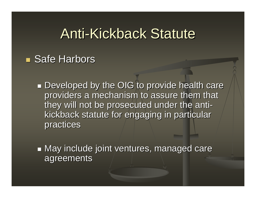#### Anti-Kickback Statute

#### **Safe Harbors**

- $\mathcal{L}_{\mathcal{A}}$ **Developed by the OIG to provide health care** providers a mechanism to assure them that they will not be prosecuted under the antikickback statute for engaging in particular practices
- $\mathcal{L}_{\mathcal{A}}$  $\blacksquare$  May include joint ventures, managed care agreements agreements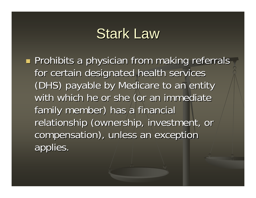#### **Stark Law**

**Prohibits a physician from making referrals And a prohibits a physician from making referrals** for certain designated health services (DHS) payable by Medicare to an entity (DHS) payable by Medicare to an entity with which he or she (or an immediate family member) has a financial relationship (ownership, investment, or compensation), unless an exception applies.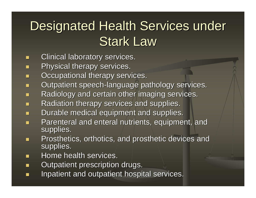## Designated Health Services under **Stark Law**

- П Clinical laboratory services.
- $\mathbb{Z}^2$ Physical therapy services.
- п Occupational therapy services.
- $\mathbb{Z}^2$ **Dutpatient speech-language pathology services.**
- $\mathbb{Z}^2$ Radiology and certain other imaging services.
- L. Radiation therapy services and supplies.
- $\overline{\phantom{0}}$ Durable medical equipment and supplies.
- $\mathbb{Z}^2$ Parenteral and enteral nutrients, equipment, and supplies.
- $\mathbb{Z}^2$ Prosthetics, orthotics, and prosthetic devices and supplies.
- $\mathcal{L}$ Home health services.
- ▬ Outpatient prescription drugs.
- П Inpatient and outpatient hospital services.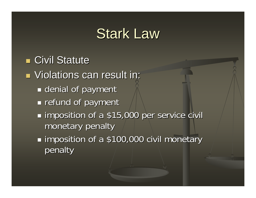#### **Stark Law**

**E** Civil Statute **Niolations can result in:**  $\mathcal{L}_{\mathcal{A}}$ **Exercial of payment**  $\mathcal{L}_{\mathcal{A}}$ **Figure 1** refund of payment  $\mathcal{L}_{\mathcal{A}}$ **Iomposition of a \$15,000 per service civil** monetary penalty  $\mathcal{L}_{\mathcal{A}}$ **Iomposition of a \$100,000 civil monetary** penalty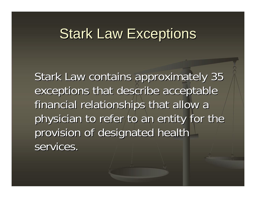#### **Stark Law Exceptions**

Stark Law contains approximately 35 exceptions that describe acceptable financial relationships that allow a physician to refer to an entity for the provision of designated health services.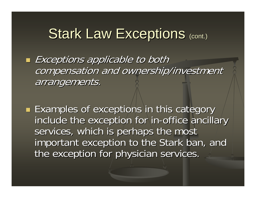## Stark Law Exceptions (cont.)

e<br>S  $\blacksquare$  Exceptions applicable to both compensation and ownership/investment arrangements. arrangements.

**Examples of exceptions in this category** include the exception for in-office ancillary services, which is perhaps the most important exception to the Stark ban, and the exception for physician services.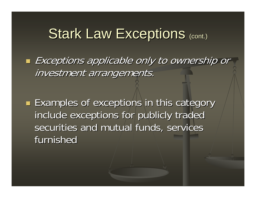#### Stark Law Exceptions (cont.)

- $\blacksquare$  Exceptions applicable only to ownership or investment arrangements.
- **Examples of exceptions in this category** include exceptions for publicly traded securities and mutual funds, services furnished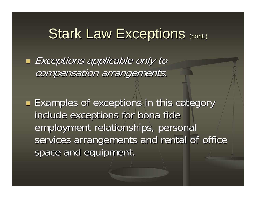#### Stark Law Exceptions (cont.)

 $\blacksquare$  Exceptions applicable only to compensation arrangements.

**Examples of exceptions in this category** include exceptions for bona fide employment relationships, personal services arrangements and rental of office space and equipment.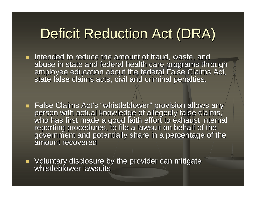## Deficit Reduction Act (DRA)

- **If intended to reduce the amount of fraud, waste, and Intended to reduce the amount of fraud, waste, and** abuse in state and federal health care programs through<br>employee education about the federal False Claims Act,<br>state false claims acts, civil and criminal penalties.
- False Claims Act's "whistleblower" provision allows any person with actual knowledge of allegedly false claims,<br>who has first made a good faith effort to exhaust internal<br>reporting procedures, to file a lawsuit on behalf of the<br>government and potentially share in a percentage o
- Voluntary disclosure by the provider can mitigate whistleblower lawsuits whistleblower lawsuits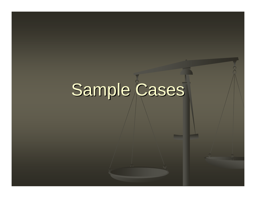# Sample Cases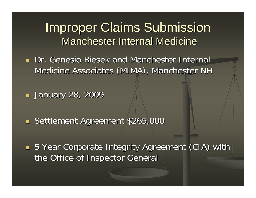**Dr. Genesio Biesek and Manchester Internal** Medicine Associates (MIMA), Manchester NH

**January 28, 2009** 

Settlement Agreement \$265,000

Т. **5 Year Corporate Integrity Agreement (CIA) with** the Office of Inspector General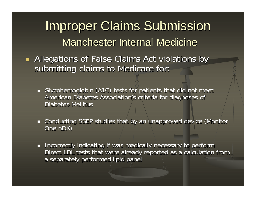- Т. Allegations of False Claims Act violations by submitting claims to Medicare for:
	- Glycohemoglobin (A1C) tests for patients that did not meet American Diabetes Association's criteria for diagnoses of Diabetes Mellitus
	- **Conducting SSEP studies that by an unapproved device (Monitor and unapproved device (Monitor** One nDX )
	- **Incorrectly indicating if was medically necessary to perform** Direct LDL tests that were already reported as a calculation from  $\overline{\phantom{a}}$ a separately performed lipid panel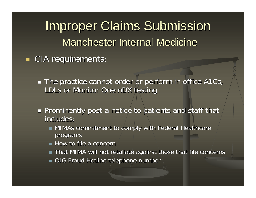Т. **CIA requirements:** 

- $\blacksquare$  The practice cannot order or perform in office A1Cs, LDLs or Monitor One nDX testing
- **Prominently post a notice to patients and staff that** includes: includes:
	- $\blacksquare$  MIMAs commitment to comply with Federal Healthcare programs
	- $\blacksquare$  How to file a concern
	- $\blacksquare$  That MIMA will not retaliate against those that file concerns
	- $\blacksquare$  OIG Fraud Hotline telephone number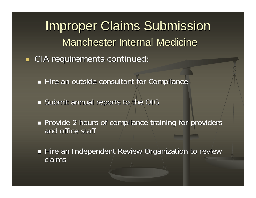**Improper Claims Submission** Manchester Internal Medicine **CIA requirements continued:** 

 $\blacksquare$  Hire an outside consultant for Compliance  $\blacksquare$ 

 $\blacksquare$  Submit annual reports to the OIG

Т.

**Provide 2 hours of compliance training for providers** and office staff

 $\blacksquare$  Hire an Independent Review Organization to review claims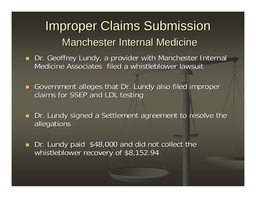- **Dr. Geoffrey Lundy, a provider with Manchester Internal** Medicine Associates filed a whistleblower lawsuit
- Government alleges that Dr. Lundy also filed improper claims for SSEP and LDL testing
- $\blacksquare$ Dr. Lundy signed a Settlement agreement to resolve the allegations allegations
- $\blacksquare$ Dr. Lundy paid \$48,000 and did not collect the whistleblower recovery of \$8,152.94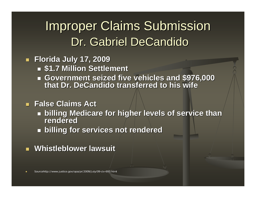### **Improper Claims Submission** Dr. Gabriel DeCandido

#### **Florida July 17, 2009 Florida July 17, 2009**

- **\$1.7 Million Settlement \$1.7 Million Settlement**
- **Government seized five vehicles and \$976,000 that Dr. DeCandido transferred to his wife that Dr. DeCandido transferred to his wife**

#### $\overline{\phantom{0}}$ **False Claims Act**

- **billing Medicare for higher levels of service than billing Medicare for higher levels of service than rendered rendered**
- **billing for services not rendered billing for services not rendered**
- $\blacksquare$ **Whistleblower lawsuit Whistleblower lawsuit**

Sourcehttp://www.justice.gov/opa/pr/2009/July/09-civ-693.html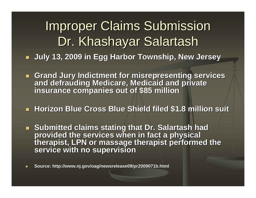## **Improper Claims Submission** Dr. Khashayar Salartash

- **July 13, 2009 in Egg Harbor Township, New Jersey July 13, 2009 in Egg Harbor Township, New Jersey**
- **E** Grand Jury Indictment for misrepresenting services and defrauding Medicare, Medicaid and private<br>insurance companies out of \$85 million
- п **Horizon Blue Cross Blue Shield filed \$1.8 million suit Horizon Blue Cross Blue Shield filed \$1.8 million suit**
- **Submitted claims stating that Dr. Salartash had** provided the services when in fact a physical<br>therapist, LPN or massage therapist performed the<br>service with no supervision
- $\overline{\phantom{0}}$ **Source: http://www.nj.gov/oa Source: http://www.nj.gov/oag/newsrelease09/pr2009071b.html r2009071b.html**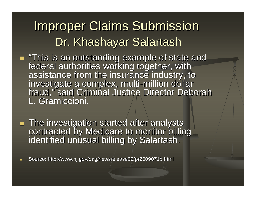## **Improper Claims Submission** Dr. Khashayar Salartash

- ш "This is an outstanding example of state and<br>federal authorities working together, with<br>assistance from the insurance industry, to<br>investigate a complex, multi-million dollar fraud," said Criminal Justice Director Deborah fraud," said Criminal Justice Director Deborah L. Gramiccioni.
- The investigation started after analysts contracted by Medicare to monitor billing<br>identified unusual billing by Salartash.
- a. Source: http://www.nj.gov/oag/newsrelease09/pr2009071b.html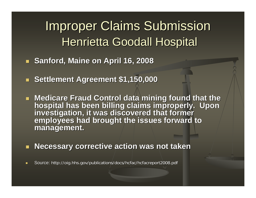### **Improper Claims Submission** Henrietta Goodall Hospital

- $\overline{\phantom{0}}$ **Sanford, Maine on April 16, 2008 Sanford, Maine on April 16, 2008**
- L. **Settlement Agreement \$1,150,000 Settlement Agreement \$1,150,000**
- Medicare Fraud Control data mining found that the hospital has been billing claims improperly. Upon<br>investigation, it was discovered that former<br>employees had brought the issues forward to **management. management.**
- п **Necessary corrective action was not taken**
- $\overline{\phantom{0}}$ Source: http://oig.hhs.gov/publications/docs/hcfac/hcfacreport2008.pdf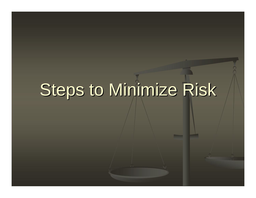# Steps to Minimize Risk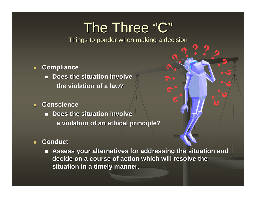## The Three "C"

Things to ponder when making a decision

- $\blacksquare$  **Compliance Compliance**
	- **Does the situation involve the violation of a law? the violation of a law?**
- ш **Conscience Conscience**
	- **EXEC** Does the situation involve **a violation of an ethical principle? a violation of an ethical principle?**

#### п **Conduct Conduct**

**Assess your alternatives for addressing the situation and** decide on a course of action which will resolve the  $\,$ **situation in a timely manner. situation in a timely manner.**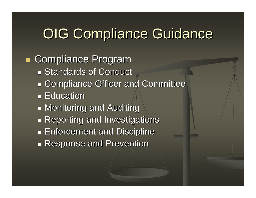#### **OIG Compliance Guidance**

**E Compliance Program Standards of Conduct**  $\mathcal{L}_{\mathcal{A}}$ **Exampliance Officer and Committee Education**  $\mathcal{L}_{\mathcal{A}}$  $\blacksquare$  Monitoring and Auditing  $\mathcal{L}_{\mathcal{A}}$ **Reporting and Investigations**  $\mathcal{L}_{\mathcal{A}}$ **Enforcement and Discipline**  $\mathcal{L}_{\mathcal{A}}$ **Response and Prevention**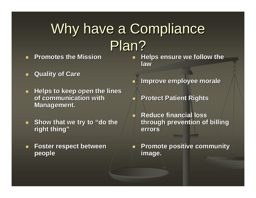## Why have a Compliance Plan?

 $\overline{\phantom{0}}$ 

L.

- П **Promotes the Mission Promotes the Mission**
- $\blacksquare$ **Quality of Care Quality of Care**
- **Helps to keep open the lines of communication with of communication with Management.**
- **Show that we try to "do the right thing" right thing"**
- П **Foster respect between Foster respect between people**
- $\overline{\phantom{0}}$ **Helps ensure we follow the law**
- L. **Improve employee morale Improve employee morale**
	- **Protect Patient Rights**
	- **Reduce financial loss Reduce financial loss through prevention of billing errors**

L. **Promote positive community Promote positive community image.**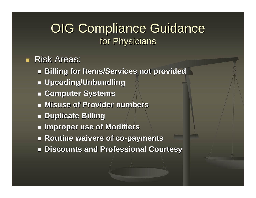#### OIG Compliance Guidance for Physicians

#### **Risk Areas:**

- **Billing for Items/Services not provided Billing for Items/Services not provided**
- **Upcoding/Unbundling Upcoding/Unbundling**
- **Computer Systems Computer Systems**
- $\blacksquare$  **Misuse of Provider numbers**
- **Duplicate Billing Duplicate Billing**
- **Improper use of Modifiers Improper use of Modifiers**
- **Routine waivers of co Routine waivers of co -payments payments**
- **Discounts and Professional Courtesy Discounts and Professional Courtesy**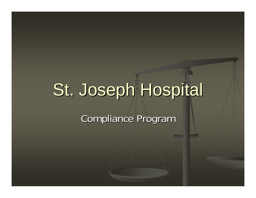# St. Joseph Hospital

Compliance Program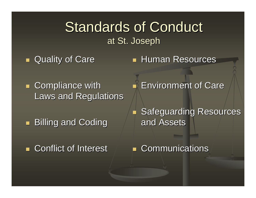#### **Standards of Conduct** at St. Joseph

Т. **Quality of Care**  **Human Resources** 

Т. **Exampliance with** Laws and Regulations

 $\blacksquare$ **Billing and Coding** 

**Example: Conflict of Interest** 

**Environment of Care** 

**Safeguarding Resources** and Assets

**Communications**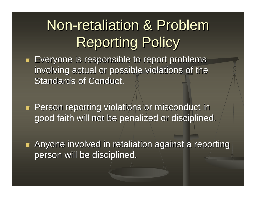## Non-retaliation & Problem **Reporting Policy**

- Т.  $\blacksquare$  Everyone is responsible to report problems involving actual or possible violations of the Standards of Conduct.
- Т. **Person reporting violations or misconduct in** good faith will not be penalized or disciplined.
- Т. **Anyone involved in retaliation against a reporting** person will be disciplined. person will be disciplined.